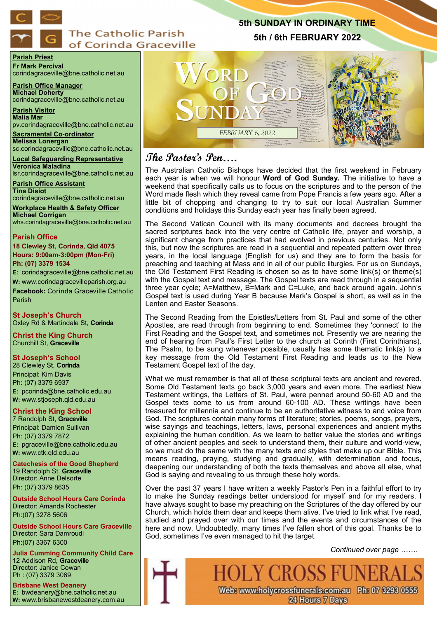

# **The Catholic Parish** of Corinda Graceville

### **Parish Priest Fr Mark Percival**

corindagraceville@bne.catholic.net.au

**Parish Office Manager Michael Doherty** corindagraceville@bne.catholic.net.au

**Parish Visitor Malia Mar**  pv.corindagraceville@bne.catholic.net.au

**Sacramental Co-ordinator Melissa Lonergan**  sc.corindagraceville@bne.catholic.net.au

**Local Safeguarding Representative Veronica Maladina** lsr.corindagraceville@bne.catholic.net.au

**Parish Office Assistant Tina Disiot**  corindagraceville@bne.catholic.net.au

**Workplace Health & Safety Officer Michael Corrigan**

whs.corindagraceville@bne.catholic.net.au

## **Parish Office**

**18 Clewley St, Corinda, Qld 4075 Hours: 9:00am-3:00pm (Mon-Fri) Ph: (07) 3379 1534**

**E:** corindagraceville@bne.catholic.net.au **W:** www.corindagracevilleparish.org.au **Facebook:** Corinda Graceville Catholic Parish

**St Joseph's Church** Oxley Rd & Martindale St, **Corinda**

**Christ the King Church** Churchill St, **Graceville**

## **St Joseph's School**

28 Clewley St, **Corinda** Principal: Kim Davis Ph: (07) 3379 6937 **E:** pcorinda@bne.catholic.edu.au **W:** www.stjoseph.qld.edu.au

## **Christ the King School**

7 Randolph St, **Graceville** Principal: Damien Sullivan Ph: (07) 3379 7872 **E:** pgraceville@bne.catholic.edu.au **W:** www.ctk.qld.edu.au

**Catechesis of the Good Shepherd**  19 Randolph St, **Graceville**  Director: Anne Delsorte Ph: (07) 3379 8635

**Outside School Hours Care Corinda**  Director: Amanda Rochester Ph:(07) 3278 5606

**Outside School Hours Care Graceville**  Director: Sara Damroudi Ph:(07) 3367 6300

**Julia Cumming Community Child Care**  12 Addison Rd, **Graceville**  Director: Janice Cowan Ph : (07) 3379 3069

**Brisbane West Deanery E:** bwdeanery@bne.catholic.net.au **W:** www.brisbanewestdeanery.com.au



# **The Pastor's Pen….**

The Australian Catholic Bishops have decided that the first weekend in February each year is when we will honour **Word of God Sunday.** The initiative to have a weekend that specifically calls us to focus on the scriptures and to the person of the Word made flesh which they reveal came from Pope Francis a few years ago. After a little bit of chopping and changing to try to suit our local Australian Summer conditions and holidays this Sunday each year has finally been agreed.

**5th SUNDAY IN ORDINARY TIME 5th / 6th FEBRUARY 2022**

The Second Vatican Council with its many documents and decrees brought the sacred scriptures back into the very centre of Catholic life, prayer and worship, a significant change from practices that had evolved in previous centuries. Not only this, but now the scriptures are read in a sequential and repeated pattern over three years, in the local language (English for us) and they are to form the basis for preaching and teaching at Mass and in all of our public liturgies. For us on Sundays, the Old Testament First Reading is chosen so as to have some link(s) or theme(s) with the Gospel text and message. The Gospel texts are read through in a sequential three year cycle; A=Matthew, B=Mark and C=Luke, and back around again. John's Gospel text is used during Year B because Mark's Gospel is short, as well as in the Lenten and Easter Seasons.

The Second Reading from the Epistles/Letters from St. Paul and some of the other Apostles, are read through from beginning to end. Sometimes they 'connect' to the First Reading and the Gospel text, and sometimes not. Presently we are nearing the end of hearing from Paul's First Letter to the church at Corinth (First Corinthians). The Psalm, to be sung whenever possible, usually has some thematic link(s) to  $a$ key message from the Old Testament First Reading and leads us to the New Testament Gospel text of the day.

What we must remember is that all of these scriptural texts are ancient and revered. Some Old Testament texts go back 3,000 years and even more. The earliest New Testament writings, the Letters of St. Paul, were penned around 50-60 AD and the Gospel texts come to us from around 60-100 AD. These writings have been treasured for millennia and continue to be an authoritative witness to and voice from God. The scriptures contain many forms of literature; stories, poems, songs, prayers, wise sayings and teachings, letters, laws, personal experiences and ancient myths explaining the human condition. As we learn to better value the stories and writings of other ancient peoples and seek to understand them, their culture and world-view, so we must do the same with the many texts and styles that make up our Bible. This means reading, praying, studying and gradually, with determination and focus, deepening our understanding of both the texts themselves and above all else, what God is saying and revealing to us through these holy words.

Over the past 37 years I have written a weekly Pastor's Pen in a faithful effort to try to make the Sunday readings better understood for myself and for my readers. I have always sought to base my preaching on the Scriptures of the day offered by our Church, which holds them dear and keeps them alive. I've tried to link what I've read, studied and prayed over with our times and the events and circumstances of the here and now. Undoubtedly, many times I've fallen short of this goal. Thanks be to God, sometimes I've even managed to hit the target.

**HOLY CROSS FUI** 

Web: www.holycrossfunerals.com.au Ph: 07 3293 0555 24 Hours 7 Days

*Continued over page …….*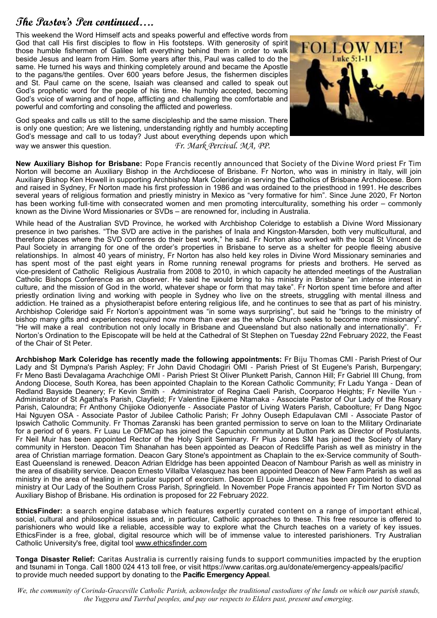## **The Pastor's Pen continued….**

This weekend the Word Himself acts and speaks powerful and effective words from God that call His first disciples to flow in His footsteps. With generosity of spirit those humble fishermen of Galilee left everything behind them in order to walk beside Jesus and learn from Him. Some years after this, Paul was called to do the same. He turned his ways and thinking completely around and became the Apostle to the pagans/the gentiles. Over 600 years before Jesus, the fishermen disciples and St. Paul came on the scene, Isaiah was cleansed and called to speak out God's prophetic word for the people of his time. He humbly accepted, becoming God's voice of warning and of hope, afflicting and challenging the comfortable and powerful and comforting and consoling the afflicted and powerless.



God speaks and calls us still to the same discipleship and the same mission. There is only one question; Are we listening, understanding rightly and humbly accepting God's message and call to us today? Just about everything depends upon which way we answer this question. *Fr. Mark Percival. MA, PP.* 

**New Auxiliary Bishop for Brisbane:** Pope Francis recently announced that Society of the Divine Word priest Fr Tim Norton will become an Auxiliary Bishop in the Archdiocese of Brisbane. Fr Norton, who was in ministry in Italy, will join Auxiliary Bishop Ken Howell in supporting Archbishop Mark Coleridge in serving the Catholics of Brisbane Archdiocese. Born and raised in Sydney, Fr Norton made his first profession in 1986 and was ordained to the priesthood in 1991. He describes several years of religious formation and priestly ministry in Mexico as "very formative for him". Since June 2020, Fr Norton has been working full-time with consecrated women and men promoting interculturality, something his order – commonly known as the Divine Word Missionaries or SVDs – are renowned for, including in Australia.

While head of the Australian SVD Province, he worked with Archbishop Coleridge to establish a Divine Word Missionary presence in two parishes. "The SVD are active in the parishes of Inala and Kingston-Marsden, both very multicultural, and therefore places where the SVD confreres do their best work," he said. Fr Norton also worked with the local St Vincent de Paul Society in arranging for one of the order's properties in Brisbane to serve as a shelter for people fleeing abusive relationships. In almost 40 years of ministry, Fr Norton has also held key roles in Divine Word Missionary seminaries and has spent most of the past eight years in Rome running renewal programs for priests and brothers. He served as vice-president of Catholic Religious Australia from 2008 to 2010, in which capacity he attended meetings of the Australian Catholic Bishops Conference as an observer. He said he would bring to his ministry in Brisbane "an intense interest in culture, and the mission of God in the world, whatever shape or form that may take". Fr Norton spent time before and after priestly ordination living and working with people in Sydney who live on the streets, struggling with mental illness and addiction. He trained as a physiotherapist before entering religious life, and he continues to see that as part of his ministry. Archbishop Coleridge said Fr Norton's appointment was "in some ways surprising", but said he "brings to the ministry of bishop many gifts and experiences required now more than ever as the whole Church seeks to become more missionary". "He will make a real contribution not only locally in Brisbane and Queensland but also nationally and internationally". Fr Norton's Ordination to the Episcopate will be held at the Cathedral of St Stephen on Tuesday 22nd February 2022, the Feast of the Chair of St Peter.

**Archbishop Mark Coleridge has recently made the following appointments:** Fr Biju Thomas CMI - Parish Priest of Our Lady and St Dympna's Parish Aspley; Fr John David Chodagiri OMI - Parish Priest of St Eugene's Parish, Burpengary; Fr Meno Basti Devalagama Arachchige OMI - Parish Priest St Oliver Plunkett Parish, Cannon Hill; Fr Gabriel III Chung, from Andong Diocese, South Korea, has been appointed Chaplain to the Korean Catholic Community; Fr Ladu Yanga - Dean of Redland Bayside Deanery; Fr Kevin Smith - Administrator of Regina Caeli Parish, Coorparoo Heights; Fr Neville Yun - Administrator of St Agatha's Parish, Clayfield; Fr Valentine Ejikeme Ntamaka - Associate Pastor of Our Lady of the Rosary Parish, Caloundra; Fr Anthony Chijioke Odionyenfe - Associate Pastor of Living Waters Parish, Caboolture; Fr Dang Ngoc Hai Nguyen OSA - Associate Pastor of Jubilee Catholic Parish; Fr Johny Ouseph Edapulavan CMI - Associate Pastor of Ipswich Catholic Community. Fr Thomas Zaranski has been granted permission to serve on loan to the Military Ordinariate for a period of 6 years. Fr Luau Le OFMCap has joined the Capuchin community at Dutton Park as Director of Postulants. Fr Neil Muir has been appointed Rector of the Holy Spirit Seminary. Fr Pius Jones SM has joined the Society of Mary community in Herston. Deacon Tim Shanahan has been appointed as Deacon of Redcliffe Parish as well as ministry in the area of Christian marriage formation. Deacon Gary Stone's appointment as Chaplain to the ex-Service community of South-East Queensland is renewed. Deacon Adrian Eldridge has been appointed Deacon of Nambour Parish as well as ministry in the area of disability service. Deacon Ernesto Villalba Velasquez has been appointed Deacon of New Farm Parish as well as ministry in the area of healing in particular support of exorcism. Deacon El Louie Jimenez has been appointed to diaconal ministry at Our Lady of the Southern Cross Parish, Springfield. In November Pope Francis appointed Fr Tim Norton SVD as Auxiliary Bishop of Brisbane. His ordination is proposed for 22 February 2022.

**EthicsFinder:** a search engine database which features expertly curated content on a range of important ethical, social, cultural and philosophical issues and, in particular, Catholic approaches to these. This free resource is offered to parishioners who would like a reliable, accessible way to explore what the Church teaches on a variety of key issues. EthicsFinder is a free, global, digital resource which will be of immense value to interested parishioners. Try Australian Catholic University's free, digital tool www.ethicsfinder.com

**Tonga Disaster Relief:** Caritas Australia is currently raising funds to support communities impacted by the eruption and tsunami in Tonga. Call 1800 024 413 toll free, or visit https://www.caritas.org.au/donate/emergency-appeals/pacific/ to provide much needed support by donating to the **Pacific Emergency Appeal**.

*We, the community of Corinda-Graceville Catholic Parish, acknowledge the traditional custodians of the lands on which our parish stands, the Yuggera and Turrbal peoples, and pay our respects to Elders past, present and emerging*.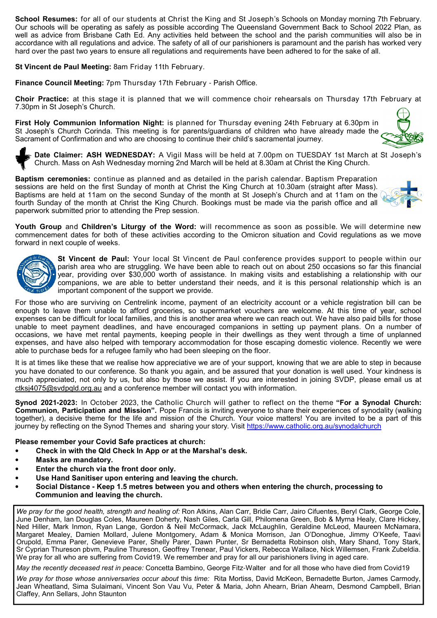**School Resumes:** for all of our students at Christ the King and St Joseph's Schools on Monday morning 7th February. Our schools will be operating as safely as possible according The Queensland Government Back to School 2022 Plan, as well as advice from Brisbane Cath Ed. Any activities held between the school and the parish communities will also be in accordance with all regulations and advice. The safety of all of our parishioners is paramount and the parish has worked very hard over the past two years to ensure all regulations and requirements have been adhered to for the sake of all.

**St Vincent de Paul Meeting:** 8am Friday 11th February.

**Finance Council Meeting:** 7pm Thursday 17th February - Parish Office.

**Choir Practice:** at this stage it is planned that we will commence choir rehearsals on Thursday 17th February at 7.30pm in St Joseph's Church.

**First Holy Communion Information Night:** is planned for Thursday evening 24th February at 6.30pm in St Joseph's Church Corinda. This meeting is for parents/guardians of children who have already made the Sacrament of Confirmation and who are choosing to continue their child's sacramental journey.

**Date Claimer: ASH WEDNESDAY:** A Vigil Mass will be held at 7.00pm on TUESDAY 1st March at St Joseph's Church. Mass on Ash Wednesday morning 2nd March will be held at 8.30am at Christ the King Church.

**Baptism ceremonies:** continue as planned and as detailed in the parish calendar. Baptism Preparation sessions are held on the first Sunday of month at Christ the King Church at 10.30am (straight after Mass). Baptisms are held at 11am on the second Sunday of the month at St Joseph's Church and at 11am on the fourth Sunday of the month at Christ the King Church. Bookings must be made via the parish office and all paperwork submitted prior to attending the Prep session.

**Youth Group** and **Children's Liturgy of the Word:** will recommence as soon as possible. We will determine new commencement dates for both of these activities according to the Omicron situation and Covid regulations as we move forward in next couple of weeks.



**St Vincent de Paul:** Your local St Vincent de Paul conference provides support to people within our parish area who are struggling. We have been able to reach out on about 250 occasions so far this financial year, providing over \$30,000 worth of assistance. In making visits and establishing a relationship with our companions, we are able to better understand their needs, and it is this personal relationship which is an important component of the support we provide.

For those who are surviving on Centrelink income, payment of an electricity account or a vehicle registration bill can be enough to leave them unable to afford groceries, so supermarket vouchers are welcome. At this time of year, school expenses can be difficult for local families, and this is another area where we can reach out. We have also paid bills for those unable to meet payment deadlines, and have encouraged companions in setting up payment plans. On a number of occasions, we have met rental payments, keeping people in their dwellings as they went through a time of unplanned expenses, and have also helped with temporary accommodation for those escaping domestic violence. Recently we were able to purchase beds for a refugee family who had been sleeping on the floor.

It is at times like these that we realise how appreciative we are of your support, knowing that we are able to step in because you have donated to our conference. So thank you again, and be assured that your donation is well used. Your kindness is much appreciated, not only by us, but also by those we assist. If you are interested in joining SVDP, please email us at ctksj4075@svdpqld.org.au and a conference member will contact you with information.

**Synod 2021-2023:** In October 2023, the Catholic Church will gather to reflect on the theme **"For a Synodal Church: Communion, Participation and Mission".** Pope Francis is inviting everyone to share their experiences of synodality (walking together), a decisive theme for the life and mission of the Church. Your voice matters! You are invited to be a part of this journey by reflecting on the Synod Themes and sharing your story. Visit https://www.catholic.org.au/synodalchurch

**Please remember your Covid Safe practices at church:** 

- **Check in with the Qld Check In App or at the Marshal's desk.**
- **Masks are mandatory.**
- **Enter the church via the front door only.**
- **Use Hand Sanitiser upon entering and leaving the church.**
- **Social Distance - Keep 1.5 metres between you and others when entering the church, processing to Communion and leaving the church.**

*We pray for the good health, strength and healing of:* Ron Atkins, Alan Carr, Bridie Carr, Jairo Cifuentes, Beryl Clark, George Cole, June Denham, Ian Douglas Coles, Maureen Doherty, Nash Giles, Carla Gill, Philomena Green, Bob & Myrna Healy, Clare Hickey, Ned Hiller, Mark Inmon, Ryan Lange, Gordon & Neil McCormack, Jack McLaughlin, Geraldine McLeod, Maureen McNamara, Margaret Mealey, Damien Mollard, Julene Montgomery, Adam & Monica Morrison, Jan O'Donoghue, Jimmy O'Keefe, Taavi Orupold, Emma Parer, Genevieve Parer, Shelly Parer, Dawn Punter, Sr Bernadetta Robinson olsh, Mary Shand, Tony Stark, Sr Cyprian Thureson pbvm, Pauline Thureson, Geoffrey Trenear, Paul Vickers, Rebecca Wallace, Nick Willemsen, Frank Zubeldia. We pray for all who are suffering from Covid19. We remember and pray for all our parishioners living in aged care.

*May the recently deceased rest in peace:* Concetta Bambino, George Fitz-Walter and for all those who have died from Covid19

*We pray for those whose anniversaries occur about* this *time:* Rita Mortiss, David McKeon, Bernadette Burton, James Carmody, Jean Wheatland, Sima Sulaimani, Vincent Son Vau Vu, Peter & Maria, John Ahearn, Brian Ahearn, Desmond Campbell, Brian Claffey, Ann Sellars, John Staunton